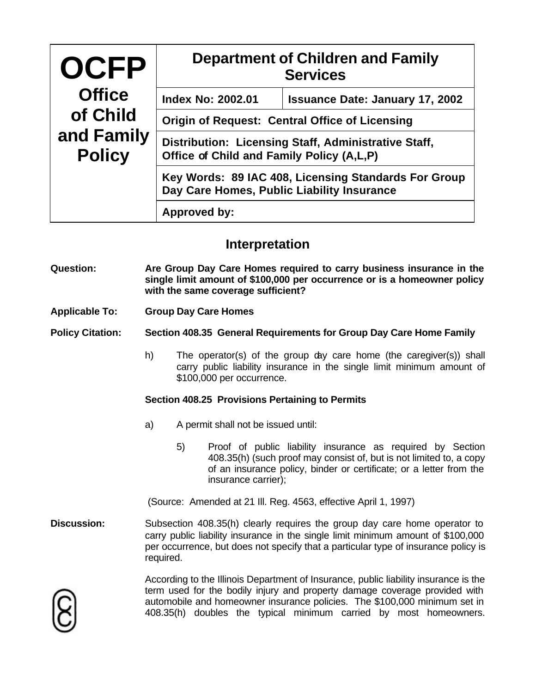| <b>OCFP</b><br><b>Office</b><br>of Child<br>and Family<br><b>Policy</b> | <b>Department of Children and Family</b><br><b>Services</b>                                        |                                        |
|-------------------------------------------------------------------------|----------------------------------------------------------------------------------------------------|----------------------------------------|
|                                                                         | <b>Index No: 2002.01</b>                                                                           | <b>Issuance Date: January 17, 2002</b> |
|                                                                         | <b>Origin of Request: Central Office of Licensing</b>                                              |                                        |
|                                                                         | Distribution: Licensing Staff, Administrative Staff,<br>Office of Child and Family Policy (A,L,P)  |                                        |
|                                                                         | Key Words: 89 IAC 408, Licensing Standards For Group<br>Day Care Homes, Public Liability Insurance |                                        |
|                                                                         | Approved by:                                                                                       |                                        |

## **Interpretation**

- **Question: Are Group Day Care Homes required to carry business insurance in the single limit amount of \$100,000 per occurrence or is a homeowner policy with the same coverage sufficient?**
- **Applicable To: Group Day Care Homes**

**Policy Citation: Section 408.35 General Requirements for Group Day Care Home Family**

h) The operator(s) of the group day care home (the caregiver(s)) shall carry public liability insurance in the single limit minimum amount of \$100,000 per occurrence.

## **Section 408.25 Provisions Pertaining to Permits**

- a) A permit shall not be issued until:
	- 5) Proof of public liability insurance as required by Section 408.35(h) (such proof may consist of, but is not limited to, a copy of an insurance policy, binder or certificate; or a letter from the insurance carrier);

(Source: Amended at 21 Ill. Reg. 4563, effective April 1, 1997)

**Discussion:** Subsection 408.35(h) clearly requires the group day care home operator to carry public liability insurance in the single limit minimum amount of \$100,000 per occurrence, but does not specify that a particular type of insurance policy is required.

According to the Illinois Department of Insurance, public liability insurance is the term used for the bodily injury and property damage coverage provided with automobile and homeowner insurance policies. The \$100,000 minimum set in 408.35(h) doubles the typical minimum carried by most homeowners.